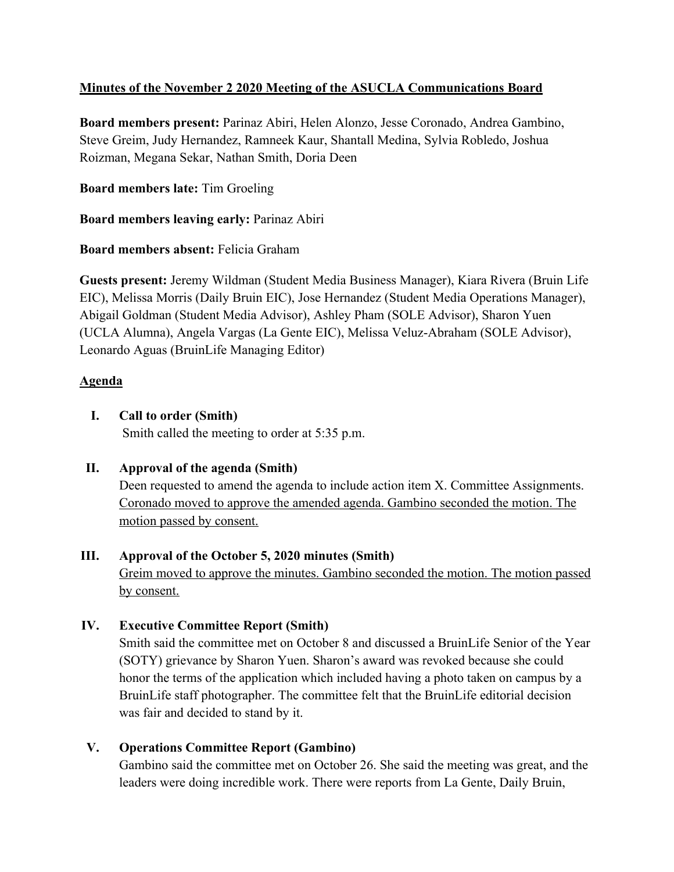# **Minutes of the November 2 2020 Meeting of the ASUCLA Communications Board**

**Board members present:** Parinaz Abiri, Helen Alonzo, Jesse Coronado, Andrea Gambino, Steve Greim, Judy Hernandez, Ramneek Kaur, Shantall Medina, Sylvia Robledo, Joshua Roizman, Megana Sekar, Nathan Smith, Doria Deen

**Board members late:** Tim Groeling

**Board members leaving early:** Parinaz Abiri

**Board members absent:** Felicia Graham

**Guests present:** Jeremy Wildman (Student Media Business Manager), Kiara Rivera (Bruin Life EIC), Melissa Morris (Daily Bruin EIC), Jose Hernandez (Student Media Operations Manager), Abigail Goldman (Student Media Advisor), Ashley Pham (SOLE Advisor), Sharon Yuen (UCLA Alumna), Angela Vargas (La Gente EIC), Melissa Veluz-Abraham (SOLE Advisor), Leonardo Aguas (BruinLife Managing Editor)

# **Agenda**

**I. Call to order (Smith)**

Smith called the meeting to order at 5:35 p.m.

**II. Approval of the agenda (Smith)**

Deen requested to amend the agenda to include action item X. Committee Assignments. Coronado moved to approve the amended agenda. Gambino seconded the motion. The motion passed by consent.

## **III. Approval of the October 5, 2020 minutes (Smith)**

Greim moved to approve the minutes. Gambino seconded the motion. The motion passed by consent.

## **IV. Executive Committee Report (Smith)**

Smith said the committee met on October 8 and discussed a BruinLife Senior of the Year (SOTY) grievance by Sharon Yuen. Sharon's award was revoked because she could honor the terms of the application which included having a photo taken on campus by a BruinLife staff photographer. The committee felt that the BruinLife editorial decision was fair and decided to stand by it.

## **V. Operations Committee Report (Gambino)**

Gambino said the committee met on October 26. She said the meeting was great, and the leaders were doing incredible work. There were reports from La Gente, Daily Bruin,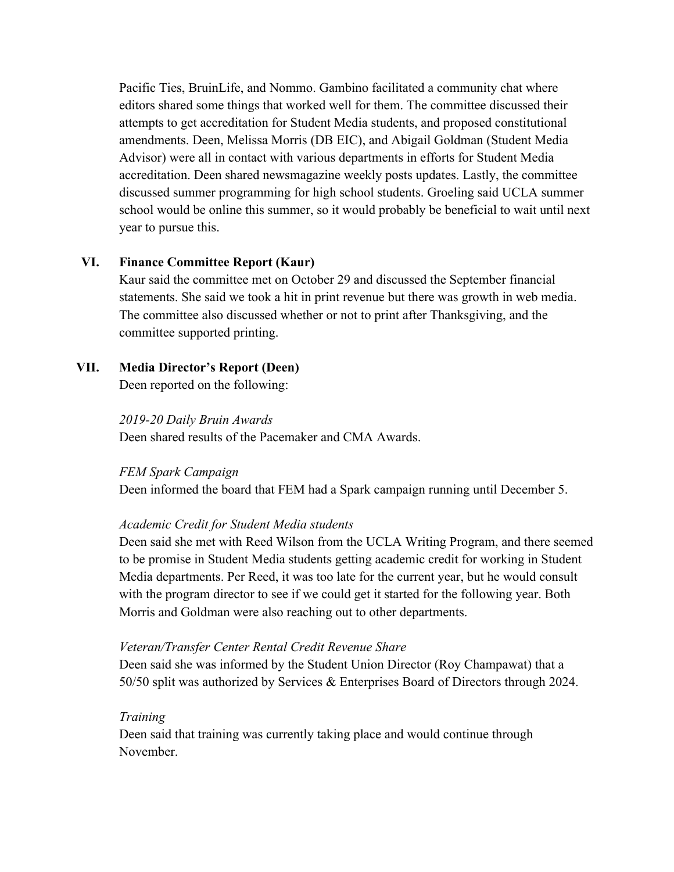Pacific Ties, BruinLife, and Nommo. Gambino facilitated a community chat where editors shared some things that worked well for them. The committee discussed their attempts to get accreditation for Student Media students, and proposed constitutional amendments. Deen, Melissa Morris (DB EIC), and Abigail Goldman (Student Media Advisor) were all in contact with various departments in efforts for Student Media accreditation. Deen shared newsmagazine weekly posts updates. Lastly, the committee discussed summer programming for high school students. Groeling said UCLA summer school would be online this summer, so it would probably be beneficial to wait until next year to pursue this.

## **VI. Finance Committee Report (Kaur)**

Kaur said the committee met on October 29 and discussed the September financial statements. She said we took a hit in print revenue but there was growth in web media. The committee also discussed whether or not to print after Thanksgiving, and the committee supported printing.

## **VII. Media Director's Report (Deen)**

Deen reported on the following:

*2019-20 Daily Bruin Awards* Deen shared results of the Pacemaker and CMA Awards.

### *FEM Spark Campaign*

Deen informed the board that FEM had a Spark campaign running until December 5.

## *Academic Credit for Student Media students*

Deen said she met with Reed Wilson from the UCLA Writing Program, and there seemed to be promise in Student Media students getting academic credit for working in Student Media departments. Per Reed, it was too late for the current year, but he would consult with the program director to see if we could get it started for the following year. Both Morris and Goldman were also reaching out to other departments.

### *Veteran/Transfer Center Rental Credit Revenue Share*

Deen said she was informed by the Student Union Director (Roy Champawat) that a 50/50 split was authorized by Services & Enterprises Board of Directors through 2024.

## *Training*

Deen said that training was currently taking place and would continue through November.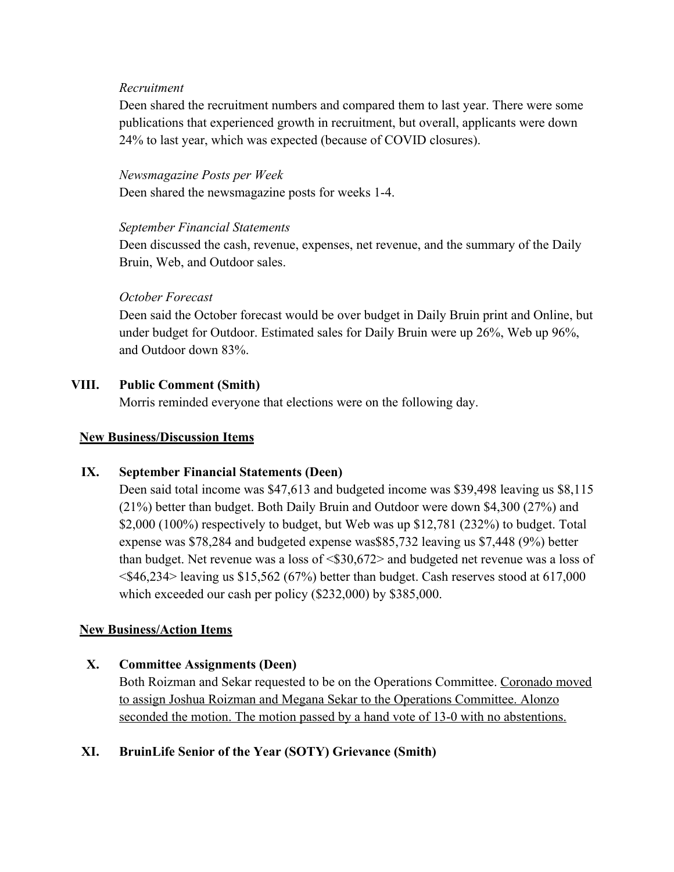#### *Recruitment*

Deen shared the recruitment numbers and compared them to last year. There were some publications that experienced growth in recruitment, but overall, applicants were down 24% to last year, which was expected (because of COVID closures).

#### *Newsmagazine Posts per Week*

Deen shared the newsmagazine posts for weeks 1-4.

#### *September Financial Statements*

Deen discussed the cash, revenue, expenses, net revenue, and the summary of the Daily Bruin, Web, and Outdoor sales.

### *October Forecast*

Deen said the October forecast would be over budget in Daily Bruin print and Online, but under budget for Outdoor. Estimated sales for Daily Bruin were up 26%, Web up 96%, and Outdoor down 83%.

### **VIII. Public Comment (Smith)**

Morris reminded everyone that elections were on the following day.

### **New Business/Discussion Items**

## **IX. September Financial Statements (Deen)**

Deen said total income was \$47,613 and budgeted income was \$39,498 leaving us \$8,115 (21%) better than budget. Both Daily Bruin and Outdoor were down \$4,300 (27%) and \$2,000 (100%) respectively to budget, but Web was up \$12,781 (232%) to budget. Total expense was \$78,284 and budgeted expense was\$85,732 leaving us \$7,448 (9%) better than budget. Net revenue was a loss of  $\langle $30,672 \rangle$  and budgeted net revenue was a loss of <\$46,234> leaving us \$15,562 (67%) better than budget. Cash reserves stood at 617,000 which exceeded our cash per policy (\$232,000) by \$385,000.

### **New Business/Action Items**

### **X. Committee Assignments (Deen)**

Both Roizman and Sekar requested to be on the Operations Committee. Coronado moved to assign Joshua Roizman and Megana Sekar to the Operations Committee. Alonzo seconded the motion. The motion passed by a hand vote of 13-0 with no abstentions.

### **XI. BruinLife Senior of the Year (SOTY) Grievance (Smith)**